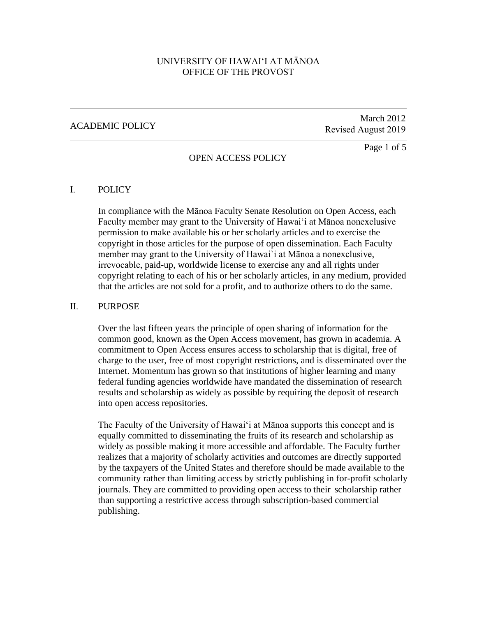# UNIVERSITY OF HAWAI'I AT MĀNOA OFFICE OF THE PROVOST

## ACADEMIC POLICY

# March 2012 Revised August 2019

## OPEN ACCESS POLICY

Page 1 of 5

#### I. POLICY

In compliance with the Mānoa Faculty Senate Resolution on Open Access, each Faculty member may grant to the University of Hawai'i at Mānoa nonexclusive permission to make available his or her scholarly articles and to exercise the copyright in those articles for the purpose of open dissemination. Each Faculty member may grant to the University of Hawai`i at Mānoa a nonexclusive, irrevocable, paid-up, worldwide license to exercise any and all rights under copyright relating to each of his or her scholarly articles, in any medium, provided that the articles are not sold for a profit, and to authorize others to do the same.

#### II. **PURPOSE**

Over the last fifteen years the principle of open sharing of information for the common good, known as the Open Access movement, has grown in academia. A commitment to Open Access ensures access to scholarship that is digital, free of charge to the user, free of most copyright restrictions, and is disseminated over the Internet. Momentum has grown so that institutions of higher learning and many federal funding agencies worldwide have mandated the dissemination of research results and scholarship as widely as possible by requiring the deposit of research into open access repositories.

The Faculty of the University of Hawai'i at Mānoa supports this concept and is equally committed to disseminating the fruits of its research and scholarship as widely as possible making it more accessible and affordable. The Faculty further realizes that a majority of scholarly activities and outcomes are directly supported by the taxpayers of the United States and therefore should be made available to the community rather than limiting access by strictly publishing in for-profit scholarly journals. They are committed to providing open access to their scholarship rather than supporting a restrictive access through subscription-based commercial publishing.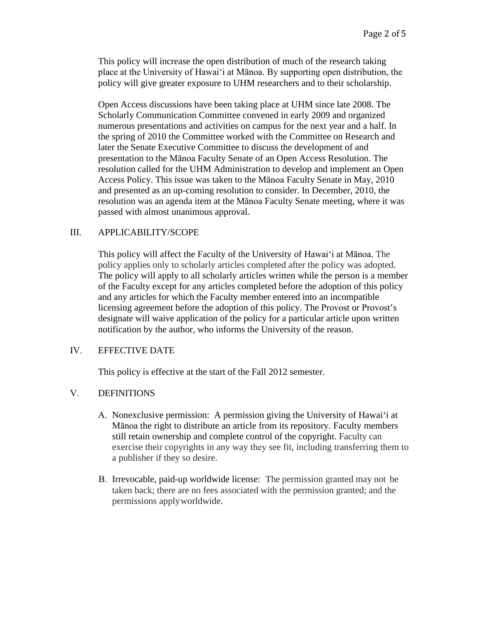This policy will increase the open distribution of much of the research taking place at the University of Hawai'i at Mānoa. By supporting open distribution, the policy will give greater exposure to UHM researchers and to their scholarship.

Open Access discussions have been taking place at UHM since late 2008. The Scholarly Communication Committee convened in early 2009 and organized numerous presentations and activities on campus for the next year and a half. In the spring of 2010 the Committee worked with the Committee on Research and later the Senate Executive Committee to discuss the development of and presentation to the Mānoa Faculty Senate of an Open Access Resolution. The resolution called for the UHM Administration to develop and implement an Open Access Policy. This issue was taken to the Mānoa Faculty Senate in May, 2010 and presented as an up-coming resolution to consider. In December, 2010, the resolution was an agenda item at the Mānoa Faculty Senate meeting, where it was passed with almost unanimous approval.

### III. APPLICABILITY/SCOPE

This policy will affect the Faculty of the University of Hawai'i at Mānoa. The policy applies only to scholarly articles completed after the policy was adopted. The policy will apply to all scholarly articles written while the person is a member of the Faculty except for any articles completed before the adoption of this policy and any articles for which the Faculty member entered into an incompatible licensing agreement before the adoption of this policy. The Provost or Provost's designate will waive application of the policy for a particular article upon written notification by the author, who informs the University of the reason.

### IV. EFFECTIVE DATE

This policy is effective at the start of the Fall 2012 semester.

### V. DEFINITIONS

- A. Nonexclusive permission: A permission giving the University of Hawai'i at Mānoa the right to distribute an article from its repository. Faculty members still retain ownership and complete control of the copyright. Faculty can exercise their copyrights in any way they see fit, including transferring them to a publisher if they so desire.
- B. Irrevocable, paid-up worldwide license: The permission granted may not be taken back; there are no fees associated with the permission granted; and the permissions apply worldwide.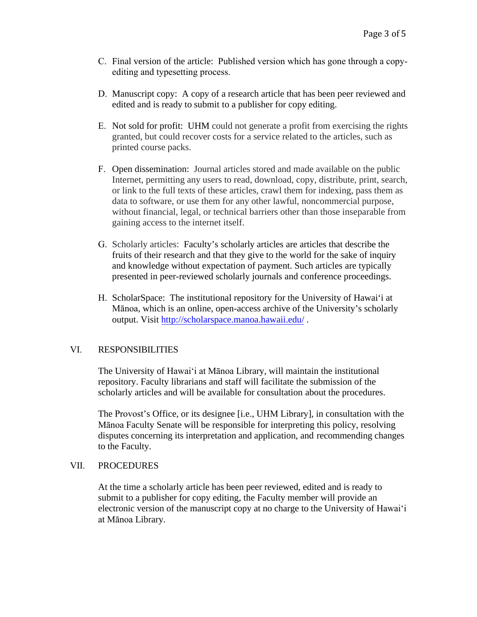- C. Final version of the article: Published version which has gone through a copyediting and typesetting process.
- D. Manuscript copy: A copy of a research article that has been peer reviewed and edited and is ready to submit to a publisher for copy editing.
- E. Not sold for profit: UHM could not generate a profit from exercising the rights granted, but could recover costs for a service related to the articles, such as printed course packs.
- F. Open dissemination: Journal articles stored and made available on the public Internet, permitting any users to read, download, copy, distribute, print, search, or link to the full texts of these articles, crawl them for indexing, pass them as data to software, or use them for any other lawful, noncommercial purpose, without financial, legal, or technical barriers other than those inseparable from gaining access to the internet itself.
- G. Scholarly articles: Faculty's scholarly articles are articles that describe the fruits of their research and that they give to the world for the sake of inquiry and knowledge without expectation of payment. Such articles are typically presented in peer-reviewed scholarly journals and conference proceedings.
- H. ScholarSpace: The institutional repository for the University of Hawai'i at Mānoa, which is an online, open-access archive of the University's scholarly output. Visit <http://scholarspace.manoa.hawaii.edu/> .

### VI. RESPONSIBILITIES

The University of Hawai'i at Mānoa Library, will maintain the institutional repository. Faculty librarians and staff will facilitate the submission of the scholarly articles and will be available for consultation about the procedures.

The Provost's Office, or its designee [i.e., UHM Library], in consultation with the Mānoa Faculty Senate will be responsible for interpreting this policy, resolving disputes concerning its interpretation and application, and recommending changes to the Faculty.

#### VII. PROCEDURES

At the time a scholarly article has been peer reviewed, edited and is ready to submit to a publisher for copy editing, the Faculty member will provide an electronic version of the manuscript copy at no charge to the University of Hawai'i at Mānoa Library.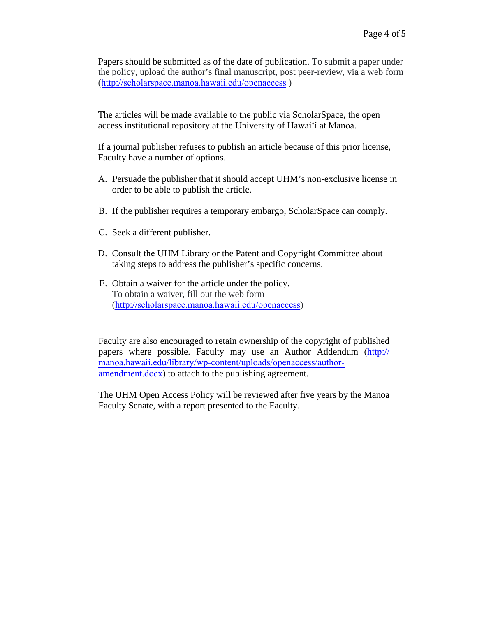Papers should be submitted as of the date of publication. To submit a paper under the policy, upload the author's final manuscript, post peer-review, via a web form (http://[scholarspace.manoa.hawaii.edu/openaccess](http://scholarspace.manoa.hawaii.edu/openaccess) )

The articles will be made available to the public via ScholarSpace, the open access institutional repository at the University of Hawai'i at Mānoa.

If a journal publisher refuses to publish an article because of this prior license, Faculty have a number of options.

- A. Persuade the publisher that it should accept UHM's non-exclusive license in order to be able to publish the article.
- B. If the publisher requires a temporary embargo, ScholarSpace can comply.
- C. Seek a different publisher.
- D. Consult the UHM Library or the Patent and Copyright Committee about taking steps to address the publisher's specific concerns.
- E. Obtain a waiver for the article under the policy. To obtain a waiver, fill out the web form (http://[scholarspace.manoa.hawaii.edu/openaccess](http://scholarspace.manoa.hawaii.edu/openaccess))

Faculty are also encouraged to retain ownership of the copyright of published papers where possible. Faculty may use an Author Addendum (http:// [manoa.hawaii.edu/library/wp-content/uploads/openaccess/author](http://manoa.hawaii.edu/library/wp-content/uploads/openaccess/author-amendment.docx)amendment.docx) to attach to the publishing agreement.

The UHM Open Access Policy will be reviewed after five years by the Manoa Faculty Senate, with a report presented to the Faculty.